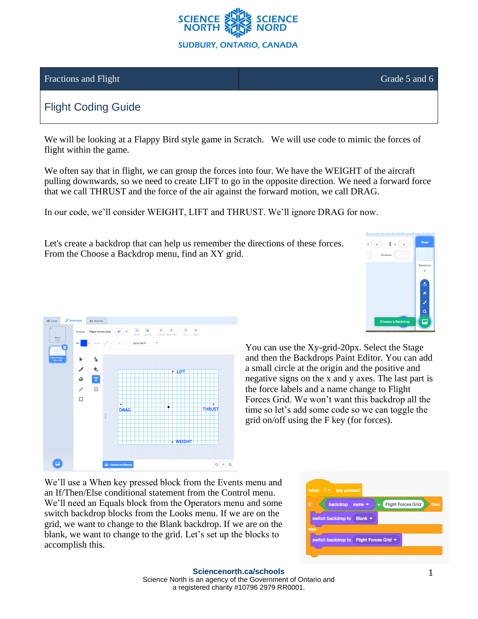

### Fractions and Flight Grade 5 and 6

# Flight Coding Guide

We will be looking at a Flappy Bird style game in Scratch. We will use code to mimic the forces of flight within the game.

We often say that in flight, we can group the forces into four. We have the WEIGHT of the aircraft pulling downwards, so we need to create LIFT to go in the opposite direction. We need a forward force that we call THRUST and the force of the air against the forward motion, we call DRAG.

In our code, we'll consider WEIGHT, LIFT and THRUST. We'll ignore DRAG for now.

Let's create a backdrop that can help us remember the directions of these forces. From the Choose a Backdrop menu, find an XY grid.





You can use the Xy-grid-20px. Select the Stage and then the Backdrops Paint Editor. You can add a small circle at the origin and the positive and negative signs on the x and y axes. The last part is the force labels and a name change to Flight Forces Grid. We won't want this backdrop all the time so let's add some code so we can toggle the grid on/off using the F key (for forces).

We'll use a When key pressed block from the Events menu and an If/Then/Else conditional statement from the Control menu. We'll need an Equals block from the Operators menu and some switch backdrop blocks from the Looks menu. If we are on the grid, we want to change to the Blank backdrop. If we are on the blank, we want to change to the grid. Let's set up the blocks to accomplish this.

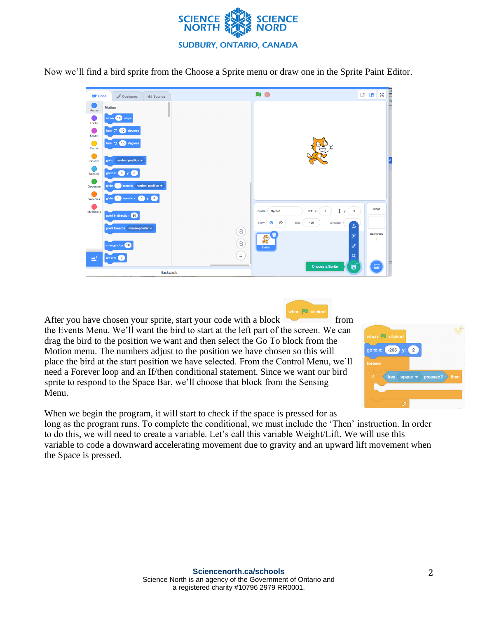

Now we'll find a bird sprite from the Choose a Sprite menu or draw one in the Sprite Paint Editor.

| <b>SEP</b> Code | Costumes                                                                                                                                 | (b) Sounds                     | $\Box$                                                                 | <b>THE REAL PROPERTY</b><br>55<br>$\Box$ |
|-----------------|------------------------------------------------------------------------------------------------------------------------------------------|--------------------------------|------------------------------------------------------------------------|------------------------------------------|
| Motion          | <b>Motion</b>                                                                                                                            |                                |                                                                        |                                          |
| Looks           | move (10) steps                                                                                                                          |                                |                                                                        |                                          |
| e i<br>Sound    | turn $C^2$ (15) degrees                                                                                                                  |                                |                                                                        |                                          |
| Events          | turn $\sqrt{5}$ 15 degrees                                                                                                               |                                |                                                                        |                                          |
| Control         | go to random position $\star$                                                                                                            |                                |                                                                        |                                          |
| Sensing         | go to $x: (0)$ y: $(0)$                                                                                                                  |                                |                                                                        |                                          |
| Operators       | glide<br>$\mathbf{1}$                                                                                                                    | secs to random position $\div$ |                                                                        |                                          |
| Variables       | glide $\begin{pmatrix} 1 \\ 1 \end{pmatrix}$ secs to x: $\begin{pmatrix} 0 \\ 0 \end{pmatrix}$ y: $\begin{pmatrix} 0 \\ 0 \end{pmatrix}$ |                                |                                                                        |                                          |
| My Blocks       |                                                                                                                                          |                                | Î<br>$\mathbf 0$<br><b>Sprite1</b><br>Sprite<br>$\leftrightarrow$<br>у | <b>Stage</b>                             |
|                 | point in direction 90                                                                                                                    |                                | Ø<br>Direction<br>$\bullet$<br>100<br>Show<br>Size<br>$\Delta$         |                                          |
|                 | point towards mouse-pointer                                                                                                              |                                | $\mathop{\textcircled{\scriptsize{+}}\nolimits}$<br>米<br>×             | Backdrops                                |
|                 | change x by 10                                                                                                                           |                                | Ę<br>$\odot$<br>Ø<br>Sprite1                                           | 1                                        |
| e.              | set x to 0                                                                                                                               |                                | $\alpha$<br>$\equiv$                                                   |                                          |
|                 |                                                                                                                                          | <b>Backpack</b>                | Choose a Sprite<br>U                                                   |                                          |

when  $\overline{\phantom{1}}$  clicke After you have chosen your sprite, start your code with a block from the Events Menu. We'll want the bird to start at the left part of the screen. We can drag the bird to the position we want and then select the Go To block from the Motion menu. The numbers adjust to the position we have chosen so this will place the bird at the start position we have selected. From the Control Menu, we'll need a Forever loop and an If/then conditional statement. Since we want our bird sprite to respond to the Space Bar, we'll choose that block from the Sensing Menu.



When we begin the program, it will start to check if the space is pressed for as long as the program runs. To complete the conditional, we must include the 'Then' instruction. In order to do this, we will need to create a variable. Let's call this variable Weight/Lift. We will use this variable to code a downward accelerating movement due to gravity and an upward lift movement when the Space is pressed.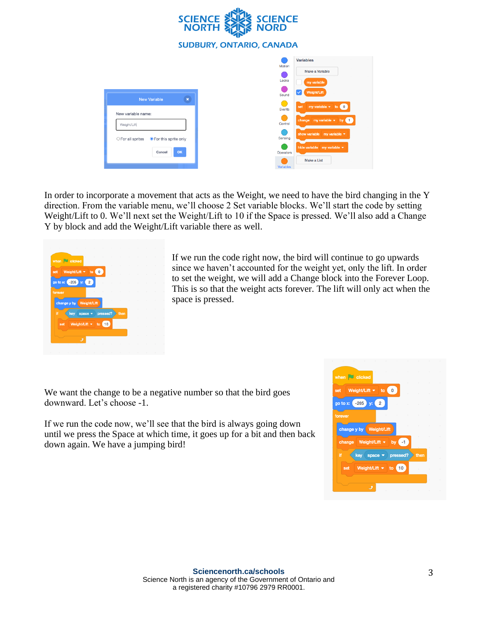

In order to incorporate a movement that acts as the Weight, we need to have the bird changing in the Y direction. From the variable menu, we'll choose 2 Set variable blocks. We'll start the code by setting Weight/Lift to 0. We'll next set the Weight/Lift to 10 if the Space is pressed. We'll also add a Change Y by block and add the Weight/Lift variable there as well.



If we run the code right now, the bird will continue to go upwards since we haven't accounted for the weight yet, only the lift. In order to set the weight, we will add a Change block into the Forever Loop. This is so that the weight acts forever. The lift will only act when the space is pressed.

We want the change to be a negative number so that the bird goes downward. Let's choose -1.

If we run the code now, we'll see that the bird is always going down until we press the Space at which time, it goes up for a bit and then back down again. We have a jumping bird!

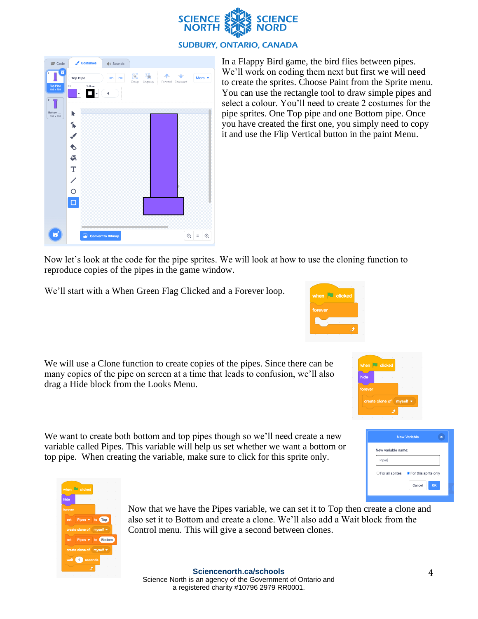

| Code                              | Costumes                                                       | (1) Sounds |                       |                         |                     |
|-----------------------------------|----------------------------------------------------------------|------------|-----------------------|-------------------------|---------------------|
| û<br><b>Top Pipe</b><br>103 x 254 | <b>Top Pipe</b><br>Outline<br>Fill                             | ÷          | O<br>Group<br>Ungroup | -A-<br>Forward Backward | More •              |
| $\overline{2}$<br>Bottom          |                                                                | 4          |                       |                         |                     |
| 103 x 253                         |                                                                |            |                       |                         |                     |
|                                   |                                                                |            |                       |                         |                     |
|                                   | $\begin{array}{c}\n\bullet \\ \bullet \\ \bullet\n\end{array}$ |            |                       |                         |                     |
|                                   |                                                                |            |                       |                         |                     |
|                                   | $\mathbf T$                                                    |            |                       |                         |                     |
|                                   |                                                                |            |                       |                         |                     |
|                                   | $\frac{1}{\sqrt{2}}$                                           |            |                       |                         |                     |
|                                   | $\overline{\square}$                                           |            |                       |                         |                     |
|                                   |                                                                |            |                       |                         |                     |
|                                   |                                                                |            |                       |                         |                     |
| ы                                 | Convert to Bitmap                                              |            |                       | $\odot$                 | $\odot$<br>$\equiv$ |

In a Flappy Bird game, the bird flies between pipes. We'll work on coding them next but first we will need to create the sprites. Choose Paint from the Sprite menu. You can use the rectangle tool to draw simple pipes and select a colour. You'll need to create 2 costumes for the pipe sprites. One Top pipe and one Bottom pipe. Once you have created the first one, you simply need to copy it and use the Flip Vertical button in the paint Menu.

Now let's look at the code for the pipe sprites. We will look at how to use the cloning function to reproduce copies of the pipes in the game window.

We'll start with a When Green Flag Clicked and a Forever loop.

We will use a Clone function to create copies of the pipes. Since there can be many copies of the pipe on screen at a time that leads to confusion, we'll also drag a Hide block from the Looks Menu.

We want to create both bottom and top pipes though so we'll need create a new variable called Pipes. This variable will help us set whether we want a bottom or top pipe. When creating the variable, make sure to click for this sprite only.



**DEL Alia** 



Now that we have the Pipes variable, we can set it to Top then create a clone and also set it to Bottom and create a clone. We'll also add a Wait block from the Control menu. This will give a second between clones.

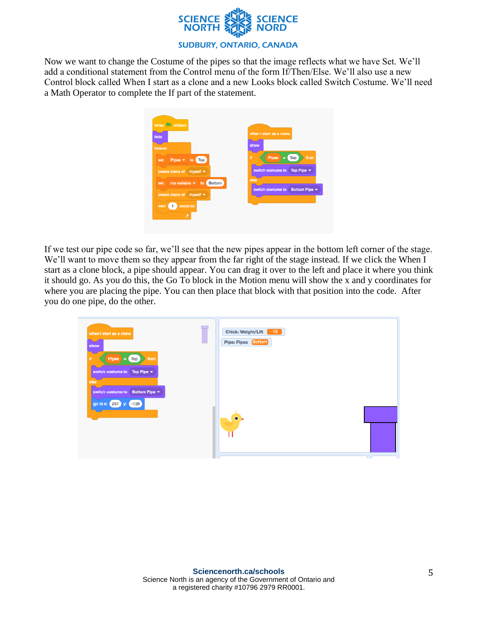

Now we want to change the Costume of the pipes so that the image reflects what we have Set. We'll add a conditional statement from the Control menu of the form If/Then/Else. We'll also use a new Control block called When I start as a clone and a new Looks block called Switch Costume. We'll need a Math Operator to complete the If part of the statement.



If we test our pipe code so far, we'll see that the new pipes appear in the bottom left corner of the stage. We'll want to move them so they appear from the far right of the stage instead. If we click the When I start as a clone block, a pipe should appear. You can drag it over to the left and place it where you think it should go. As you do this, the Go To block in the Motion menu will show the x and y coordinates for where you are placing the pipe. You can then place that block with that position into the code. After you do one pipe, do the other.

| the contract of the contract of the<br>the control of the<br>when I start as a clone<br><b>State Street</b><br><b>College College</b><br><b>STATE</b> | the contract of the contract of the contract of the contract of the contract of<br><b>Contract</b><br>$\sim$ | $\sim$                                          | <b>Contract</b>                                 | Chick: Weight/Lift<br>$-15$ |
|-------------------------------------------------------------------------------------------------------------------------------------------------------|--------------------------------------------------------------------------------------------------------------|-------------------------------------------------|-------------------------------------------------|-----------------------------|
| and the state of the state of<br><b>CONTRACTOR</b><br><b>Contractor</b><br>show                                                                       | <b>Contract Contract</b><br><b>Contractor</b>                                                                | <b>Contract</b>                                 | <b>Contract</b>                                 | Pipe: Pipes <b>Bottom</b>   |
| ∽<br>if.<br><b>Pipes</b><br>then<br>Top<br>$\equiv$                                                                                                   |                                                                                                              | the contract of the contract of the contract of |                                                 |                             |
| switch costume to Top Pipe ▼                                                                                                                          |                                                                                                              | .                                               | the contract of the contract of the contract of |                             |
| else                                                                                                                                                  |                                                                                                              | the control of the control of the               | <b>Contract Contract</b>                        |                             |
| switch costume to Bottom Pipe +                                                                                                                       |                                                                                                              |                                                 | the control of the control of the               |                             |
| go to x: 237 y:<br>$-128$                                                                                                                             | the contract of the contract of the contract of                                                              |                                                 | $\sim$ 100 $\mu$                                |                             |
|                                                                                                                                                       |                                                                                                              |                                                 | the contract of the contract of the contract of |                             |
| <b>State</b><br>$\sim$<br>$\sim$<br><b>Contract</b><br>$\sim$                                                                                         | $\sim$<br>$\sim$                                                                                             | <b>Contractor</b>                               | $\sim$<br><b>Contract Contract</b>              |                             |
| <b>Contractor</b>                                                                                                                                     |                                                                                                              |                                                 | <b>Contractor</b><br>$\sim$                     |                             |
| $\sim$                                                                                                                                                |                                                                                                              | <b>College</b>                                  | <b>Contractor</b><br><b>Contract Contract</b>   |                             |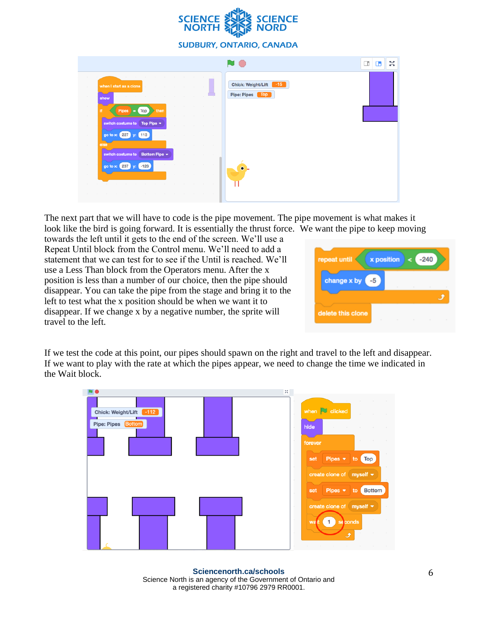

|                                                                                                                                                                                                                                                                                                                                                                                                                                                                                                                                                                                                                                                                                                                                                                                                                                                                                                                                                                                                                                                                                                                                                                                                                                                                                                                                                                |                                                                 | X<br>◫ |
|----------------------------------------------------------------------------------------------------------------------------------------------------------------------------------------------------------------------------------------------------------------------------------------------------------------------------------------------------------------------------------------------------------------------------------------------------------------------------------------------------------------------------------------------------------------------------------------------------------------------------------------------------------------------------------------------------------------------------------------------------------------------------------------------------------------------------------------------------------------------------------------------------------------------------------------------------------------------------------------------------------------------------------------------------------------------------------------------------------------------------------------------------------------------------------------------------------------------------------------------------------------------------------------------------------------------------------------------------------------|-----------------------------------------------------------------|--------|
| the control of the control of the<br><b>College</b><br>the control of the<br>$\sim$<br>$\sim$<br>when I start as a clone<br>$\sim$<br>$\sim$<br>$\sim$<br>$\sim$<br><b>Contract</b><br><b>STATE</b><br>the company of the company<br>$\sim$<br><b>STATE</b><br>$\sim$<br>show<br><b>COLLEGE</b><br>the control of the control of the con-<br>Ħ.<br><b>Pipes</b><br>Top<br>then<br>I = 1<br>$\sim$<br><b>Contract Contract</b><br>the control of the control of the<br><b>Contractor</b><br>switch costume to<br>Top Pipe $\sim$<br>$\sim$<br>$\sim$<br>the control of the control of the<br>$\sim$<br>go to x: 227<br>(113)<br><b>COLLEGE</b><br>else<br>$\sim$ 10 $\pm$<br><b>Contract Contract</b><br><b>Contractor</b><br>$\sim$<br><b>Contractor</b><br>$\sim$<br>switch costume to Bottom Pipe +<br><b>College</b><br><b>STATE</b><br><b>Contract</b><br>$\sim$<br><b>CONTRACTOR</b><br>the contract of the con-<br>$\sim$<br><b>Contract</b><br><b>Contract</b><br>$\sim$<br>$\sim$<br>go to x: 237<br>$-128$<br>$\sim$<br>the control of the control of<br>and the con-<br><b>Contractor</b><br>$\sim$<br>$\sim$<br><b>CONTRACTOR</b><br>$\sim$<br>$\sim$<br>$\sim$<br>$\sim$<br><b>CONTRACTOR</b><br>$\sim$<br>$\sim$<br>$\sim$<br><b>Contract</b><br><b>CONTRACTOR</b><br><b>Contractor</b><br><b>Contract Contract</b><br>$\sim$<br>$\sim$<br>$\sim$ | <b>Chick: Weight/Lift</b><br>$-15$<br><b>Pipe: Pipes</b><br>Top |        |

The next part that we will have to code is the pipe movement. The pipe movement is what makes it look like the bird is going forward. It is essentially the thrust force. We want the pipe to keep moving

towards the left until it gets to the end of the screen. We'll use a Repeat Until block from the Control menu. We'll need to add a statement that we can test for to see if the Until is reached. We'll use a Less Than block from the Operators menu. After the x position is less than a number of our choice, then the pipe should disappear. You can take the pipe from the stage and bring it to the left to test what the x position should be when we want it to disappear. If we change x by a negative number, the sprite will travel to the left.

| repeat until      | <b>x</b> position |                            | c.     | $-240$ |  |
|-------------------|-------------------|----------------------------|--------|--------|--|
| change x by       |                   | and the state of the state |        | $\sim$ |  |
| delete this clone | $\sim$            | $\sim$                     | $\sim$ | ×      |  |

If we test the code at this point, our pipes should spawn on the right and travel to the left and disappear. If we want to play with the rate at which the pipes appear, we need to change the time we indicated in the Wait block.



**Sciencenorth.ca/schools** Science North is an agency of the Government of Ontario and a registered charity #10796 2979 RR0001.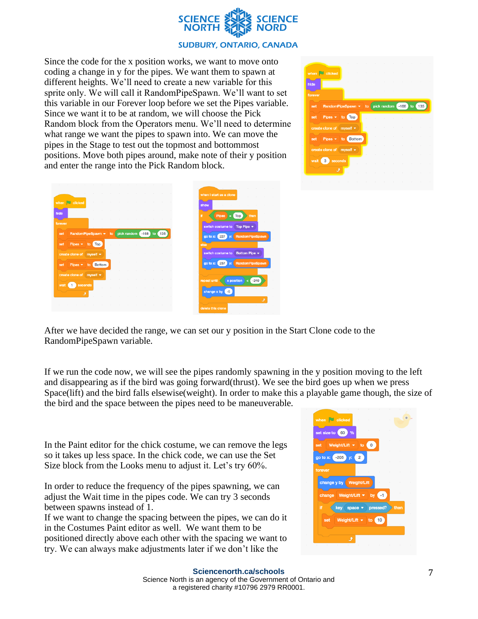

Since the code for the x position works, we want to move onto coding a change in y for the pipes. We want them to spawn at different heights. We'll need to create a new variable for this sprite only. We will call it RandomPipeSpawn. We'll want to set this variable in our Forever loop before we set the Pipes variable. Since we want it to be at random, we will choose the Pick Random block from the Operators menu. We'll need to determine what range we want the pipes to spawn into. We can move the pipes in the Stage to test out the topmost and bottommost positions. Move both pipes around, make note of their y position and enter the range into the Pick Random block.

|         |                                |           |  |        |        |        | ٠                          |        |   |  |
|---------|--------------------------------|-----------|--|--------|--------|--------|----------------------------|--------|---|--|
|         | when <b>J</b> clicked          | $\sim$    |  |        | $\sim$ | $\sim$ | $\sim$                     | $\sim$ |   |  |
| hide    |                                |           |  |        |        |        |                            |        |   |  |
| forever |                                | $\sim$    |  | $\sim$ | $\sim$ | $\sim$ | $\sim$                     |        |   |  |
| set     | RandomPipeSpawn •              |           |  |        |        |        | to pick random -168 to 135 |        |   |  |
| set     | Pipes <del>v</del> to Top      |           |  |        |        |        |                            |        |   |  |
|         | create clone of myself .       |           |  |        |        |        |                            |        |   |  |
| set     | Pipes $\blacktriangledown$     | to Bottom |  | ×      |        |        |                            |        |   |  |
|         | create clone of myself $\star$ |           |  |        |        |        |                            |        |   |  |
| wait    | 3                              | seconds   |  |        |        |        | ×                          | ×      | × |  |
|         |                                |           |  |        |        |        |                            |        |   |  |
|         |                                |           |  |        |        |        |                            |        |   |  |

| <b>Contract Contract</b><br><b>STATISTICS</b><br>$\sim$ | <b>Contract Contract</b><br>$\sim$            | the contract of the contract of                                                 | the contract of the contract of the contract of the contract of the contract of |                          |
|---------------------------------------------------------|-----------------------------------------------|---------------------------------------------------------------------------------|---------------------------------------------------------------------------------|--------------------------|
| the contract of the                                     | <b>Contractor</b>                             | the contract of the contract of the contract of the contract of the contract of | the contract of the contract of the contract of the contract of the contract of |                          |
| clicked<br>when $\Box$                                  | <b>Contract Contract</b><br><b>CONTRACTOR</b> | the control of<br><b>Contract Contract</b>                                      | <b>Contract Contract</b><br>$\sim$                                              | <b>Contract Contract</b> |
| <b>College</b><br>hide                                  | $\sim$                                        |                                                                                 | $\sim$<br>$\sim$<br>$\sim$                                                      | <b>Contractor</b>        |
| forever                                                 | <b>COLL</b>                                   | <b>COLLA</b>                                                                    |                                                                                 |                          |
| set                                                     |                                               |                                                                                 | RandomPipeSpawn $\star$ to pick random $-168$ to 135                            |                          |
| set                                                     | Pipes v to Top                                | $\sim$                                                                          |                                                                                 | <b>Contractor</b>        |
| create clone of myself $\star$                          |                                               | $\sim$                                                                          |                                                                                 |                          |
|                                                         |                                               | $\sim$<br>$\sim$                                                                | $\sim$<br><b>Contract Contract</b><br><b>Contract</b>                           | $\sim$                   |
|                                                         | set Pipes v to Bottom                         |                                                                                 | $\sim$                                                                          |                          |
| create clone of myself $\blacktriangledown$             |                                               | the contract of the contract of                                                 | <b>Contractor</b><br><b>CONTRACTOR</b>                                          | <b>Contractor</b>        |
| wait                                                    | seconds<br><b>Contract Contract</b>           | <b>Contractor</b>                                                               |                                                                                 |                          |
|                                                         |                                               |                                                                                 | $\sim$<br>$\sim$<br>$\sim$                                                      | <b>Contract Contract</b> |
|                                                         |                                               |                                                                                 |                                                                                 | $\sim$<br>$\sim$         |

After we have decided the range, we can set our y position in the Start Clone code to the RandomPipeSpawn variable.

If we run the code now, we will see the pipes randomly spawning in the y position moving to the left and disappearing as if the bird was going forward(thrust). We see the bird goes up when we press Space(lift) and the bird falls elsewise(weight). In order to make this a playable game though, the size of the bird and the space between the pipes need to be maneuverable.

In the Paint editor for the chick costume, we can remove the legs so it takes up less space. In the chick code, we can use the Set Size block from the Looks menu to adjust it. Let's try 60%.

In order to reduce the frequency of the pipes spawning, we can adjust the Wait time in the pipes code. We can try 3 seconds between spawns instead of 1.

If we want to change the spacing between the pipes, we can do it in the Costumes Paint editor as well. We want them to be positioned directly above each other with the spacing we want to try. We can always make adjustments later if we don't like the

| ×                                    |                             |                         |                                                                                      |                      |
|--------------------------------------|-----------------------------|-------------------------|--------------------------------------------------------------------------------------|----------------------|
| ×                                    |                             |                         |                                                                                      |                      |
|                                      |                             |                         |                                                                                      |                      |
|                                      |                             |                         |                                                                                      |                      |
|                                      |                             |                         |                                                                                      |                      |
|                                      |                             |                         |                                                                                      |                      |
|                                      |                             |                         |                                                                                      |                      |
|                                      |                             |                         |                                                                                      |                      |
|                                      |                             |                         |                                                                                      | then                 |
|                                      |                             |                         |                                                                                      |                      |
|                                      |                             |                         |                                                                                      |                      |
|                                      |                             |                         |                                                                                      |                      |
| when <b>dicked</b><br>set size to 60 | %<br>go to x: (-205) y: (2) | change y by Weight/Lift | Weight/Lift $\bullet$ to 0<br>change Weight/Lift v by 1<br>Weight/Lift $\star$ to 10 | key space • pressed? |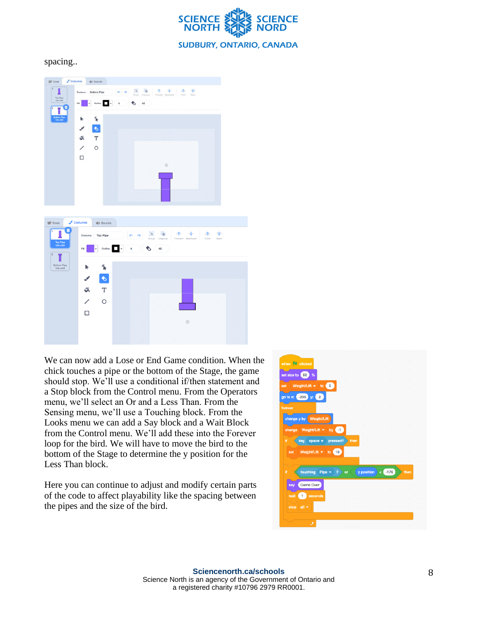

spacing..



We can now add a Lose or End Game condition. When the chick touches a pipe or the bottom of the Stage, the game should stop. We'll use a conditional if/then statement and a Stop block from the Control menu. From the Operators menu, we'll select an Or and a Less Than. From the Sensing menu, we'll use a Touching block. From the Looks menu we can add a Say block and a Wait Block from the Control menu. We'll add these into the Forever loop for the bird. We will have to move the bird to the bottom of the Stage to determine the y position for the Less Than block.

Here you can continue to adjust and modify certain parts of the code to affect playability like the spacing between the pipes and the size of the bird.

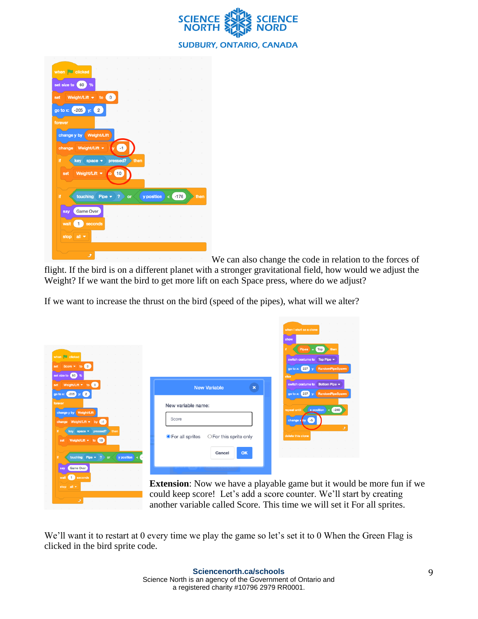

| when <b>clicked</b> |                            |                |           |    |      |            |  |       |                     |
|---------------------|----------------------------|----------------|-----------|----|------|------------|--|-------|---------------------|
|                     |                            |                |           |    |      |            |  |       |                     |
| set size to 60      | %                          |                |           |    |      |            |  |       | ×                   |
| set                 | Weight/Lift $\bullet$ to 0 |                |           |    |      |            |  |       | ×                   |
| go to x: -205       | y:                         | $\overline{2}$ |           |    |      |            |  |       | $\sim$              |
| forever             |                            |                |           |    |      |            |  |       | $\sim$              |
|                     | change y by Weight/Lift    |                |           |    |      |            |  |       | $\sim$              |
|                     | change Weight/Lift =       |                | $1y$ $-1$ |    |      | ٠          |  |       | $\epsilon$          |
|                     |                            |                |           |    |      |            |  |       | ×                   |
| Ħ                   | key<br>space               |                | pressed?  |    | then | ÷          |  |       | ٠                   |
| set                 | Weight/Lift =              | to.            | (10       |    |      |            |  |       |                     |
|                     |                            |                |           |    |      |            |  |       | $\sim$              |
| if                  | touching                   | Pipe $\sim$    | -2        | or |      | y position |  | < 176 | then                |
| say                 | <b>Game Over</b>           |                |           |    |      |            |  |       |                     |
| wait                | 1<br>seconds               |                |           |    |      |            |  |       | $\lambda$<br>$\sim$ |
|                     |                            |                |           |    |      |            |  |       | $\sim$              |
| stop                | all $\blacktriangledown$   |                |           |    |      |            |  |       |                     |
|                     |                            |                |           |    |      |            |  |       |                     |

We can also change the code in relation to the forces of

flight. If the bird is on a different planet with a stronger gravitational field, how would we adjust the Weight? If we want the bird to get more lift on each Space press, where do we adjust?

If we want to increase the thrust on the bird (speed of the pipes), what will we alter?

| when clicked                                                                                                   |                                                                                                                                                                                                                            | when I start as a clone<br>show<br>$Pipes = Top$<br>switch costume to Top Pipe $\bullet$                    |
|----------------------------------------------------------------------------------------------------------------|----------------------------------------------------------------------------------------------------------------------------------------------------------------------------------------------------------------------------|-------------------------------------------------------------------------------------------------------------|
| set Score v to 0<br>set size to 60 %<br>set Weight/Lift v to 0<br>go to x: (-205) y: (2)                       | <b>New Variable</b><br>$\boldsymbol{\times}$                                                                                                                                                                               | go to x: 227 y:<br>RandomPipeSpawn<br>switch costume to Bottom Pipe v<br>go to x: 237 y:<br>RandomPipeSpawn |
| forever<br>change y by Weight/Lift<br>change Weight/Lift + by -1                                               | New variable name:<br>Score                                                                                                                                                                                                | $-240$<br>x position<br>repeat until<br>$-5$<br>change x by                                                 |
| key space v pressed?<br>then<br>Weight/Lift $\star$ to (10)<br>set<br>touching Pipe $\star$ ? or<br>y position | <b>O</b> For all sprites<br>$\bigcirc$ For this sprite only<br>OK<br>Cancel                                                                                                                                                | delete this clone                                                                                           |
| <b>Game Over</b><br>say<br>wait is seconds                                                                     |                                                                                                                                                                                                                            |                                                                                                             |
| stop all $\sim$                                                                                                | <b>Extension:</b> Now we have a playable game but it would be more fun<br>could keep score! Let's add a score counter. We'll start by creating<br>another variable called Score. This time we will set it For all sprites. |                                                                                                             |

We'll want it to restart at 0 every time we play the game so let's set it to 0 When the Green Flag is clicked in the bird sprite code.

more fun if we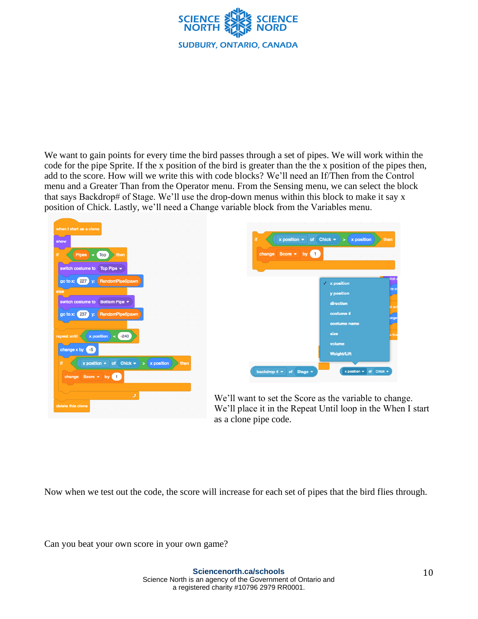

We want to gain points for every time the bird passes through a set of pipes. We will work within the code for the pipe Sprite. If the x position of the bird is greater than the the x position of the pipes then, add to the score. How will we write this with code blocks? We'll need an If/Then from the Control menu and a Greater Than from the Operator menu. From the Sensing menu, we can select the block that says Backdrop# of Stage. We'll use the drop-down menus within this block to make it say x position of Chick. Lastly, we'll need a Change variable block from the Variables menu.



| change Score $\bullet$ by $\bullet$ | ÷.<br>the company's company's company's |        |
|-------------------------------------|-----------------------------------------|--------|
|                                     |                                         |        |
|                                     |                                         | itch c |
|                                     | $\checkmark$ x position                 |        |
|                                     | y position                              | to x:  |
|                                     | direction                               |        |
|                                     | costume #                               | at unt |
|                                     |                                         | ange   |
|                                     | costume name                            |        |
|                                     | size                                    | e this |
|                                     | volume                                  |        |
|                                     | Weight/Lift                             |        |

We'll want to set the Score as the variable to change. We'll place it in the Repeat Until loop in the When I start as a clone pipe code.

Now when we test out the code, the score will increase for each set of pipes that the bird flies through.

Can you beat your own score in your own game?